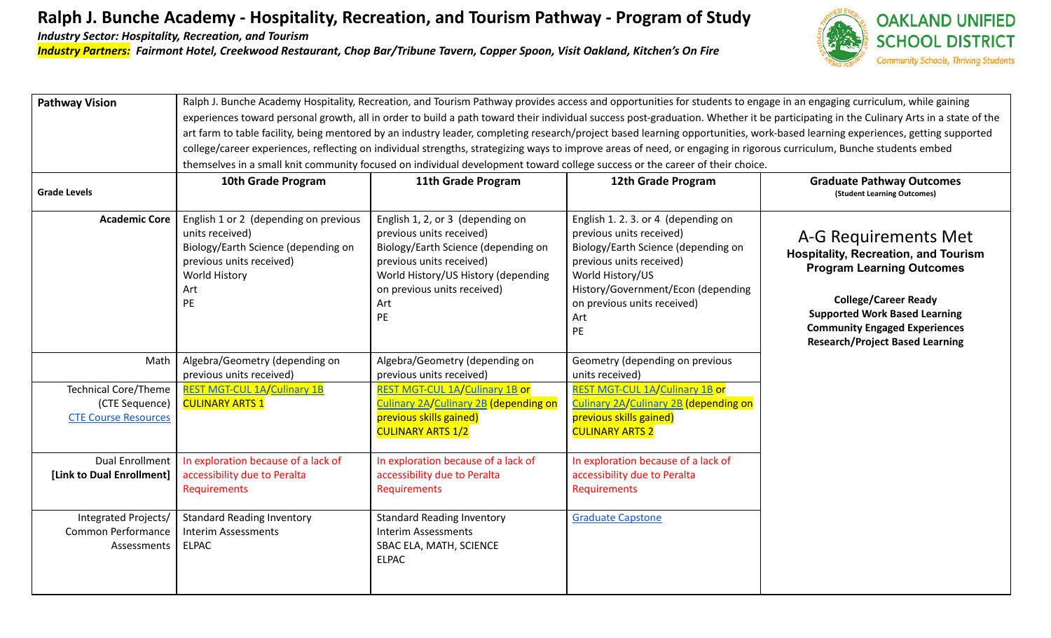## **Ralph J. Bunche Academy - Hospitality, Recreation, and Tourism Pathway - Program of Study**

*Industry Sector: Hospitality, Recreation, and Tourism*

*Industry Partners: Fairmont Hotel, Creekwood Restaurant, Chop Bar/Tribune Tavern, Copper Spoon, Visit Oakland, Kitchen's On Fire*



| <b>Pathway Vision</b>                                                        | Ralph J. Bunche Academy Hospitality, Recreation, and Tourism Pathway provides access and opportunities for students to engage in an engaging curriculum, while gaining               |                                                                                                                                                                                                                    |                                                                                                                                                                                                                                          |                                                                                                                                                                                                                        |  |  |
|------------------------------------------------------------------------------|--------------------------------------------------------------------------------------------------------------------------------------------------------------------------------------|--------------------------------------------------------------------------------------------------------------------------------------------------------------------------------------------------------------------|------------------------------------------------------------------------------------------------------------------------------------------------------------------------------------------------------------------------------------------|------------------------------------------------------------------------------------------------------------------------------------------------------------------------------------------------------------------------|--|--|
|                                                                              | experiences toward personal growth, all in order to build a path toward their individual success post-graduation. Whether it be participating in the Culinary Arts in a state of the |                                                                                                                                                                                                                    |                                                                                                                                                                                                                                          |                                                                                                                                                                                                                        |  |  |
|                                                                              | art farm to table facility, being mentored by an industry leader, completing research/project based learning opportunities, work-based learning experiences, getting supported       |                                                                                                                                                                                                                    |                                                                                                                                                                                                                                          |                                                                                                                                                                                                                        |  |  |
|                                                                              |                                                                                                                                                                                      |                                                                                                                                                                                                                    | college/career experiences, reflecting on individual strengths, strategizing ways to improve areas of need, or engaging in rigorous curriculum, Bunche students embed                                                                    |                                                                                                                                                                                                                        |  |  |
|                                                                              | themselves in a small knit community focused on individual development toward college success or the career of their choice.                                                         |                                                                                                                                                                                                                    |                                                                                                                                                                                                                                          |                                                                                                                                                                                                                        |  |  |
|                                                                              | 10th Grade Program                                                                                                                                                                   | 11th Grade Program                                                                                                                                                                                                 | 12th Grade Program                                                                                                                                                                                                                       | <b>Graduate Pathway Outcomes</b>                                                                                                                                                                                       |  |  |
| <b>Grade Levels</b>                                                          |                                                                                                                                                                                      |                                                                                                                                                                                                                    |                                                                                                                                                                                                                                          | (Student Learning Outcomes)                                                                                                                                                                                            |  |  |
| <b>Academic Core</b>                                                         | English 1 or 2 (depending on previous<br>units received)<br>Biology/Earth Science (depending on<br>previous units received)<br>World History<br>Art<br>PE                            | English 1, 2, or 3 (depending on<br>previous units received)<br>Biology/Earth Science (depending on<br>previous units received)<br>World History/US History (depending<br>on previous units received)<br>Art<br>PE | English 1. 2. 3. or 4 (depending on<br>previous units received)<br>Biology/Earth Science (depending on<br>previous units received)<br>World History/US<br>History/Government/Econ (depending<br>on previous units received)<br>Art<br>PE | A-G Requirements Met<br><b>Hospitality, Recreation, and Tourism</b><br><b>Program Learning Outcomes</b><br><b>College/Career Ready</b><br><b>Supported Work Based Learning</b><br><b>Community Engaged Experiences</b> |  |  |
| Math                                                                         | Algebra/Geometry (depending on                                                                                                                                                       | Algebra/Geometry (depending on                                                                                                                                                                                     | Geometry (depending on previous                                                                                                                                                                                                          | <b>Research/Project Based Learning</b>                                                                                                                                                                                 |  |  |
|                                                                              | previous units received)                                                                                                                                                             | previous units received)                                                                                                                                                                                           | units received)                                                                                                                                                                                                                          |                                                                                                                                                                                                                        |  |  |
| <b>Technical Core/Theme</b><br>(CTE Sequence)<br><b>CTE Course Resources</b> | <b>REST MGT-CUL 1A/Culinary 1B</b><br><b>CULINARY ARTS 1</b>                                                                                                                         | REST MGT-CUL 1A/Culinary 1B or<br>Culinary 2A/Culinary 2B (depending on<br>previous skills gained)<br><b>CULINARY ARTS 1/2</b>                                                                                     | <b>REST MGT-CUL 1A/Culinary 1B or</b><br>Culinary 2A/Culinary 2B (depending on<br>previous skills gained)<br><b>CULINARY ARTS 2</b>                                                                                                      |                                                                                                                                                                                                                        |  |  |
| <b>Dual Enrollment</b><br>[Link to Dual Enrollment]                          | In exploration because of a lack of<br>accessibility due to Peralta<br>Requirements                                                                                                  | In exploration because of a lack of<br>accessibility due to Peralta<br><b>Requirements</b>                                                                                                                         | In exploration because of a lack of<br>accessibility due to Peralta<br>Requirements                                                                                                                                                      |                                                                                                                                                                                                                        |  |  |
| Integrated Projects/<br>Common Performance<br>Assessments                    | <b>Standard Reading Inventory</b><br><b>Interim Assessments</b><br><b>ELPAC</b>                                                                                                      | <b>Standard Reading Inventory</b><br><b>Interim Assessments</b><br>SBAC ELA, MATH, SCIENCE<br><b>ELPAC</b>                                                                                                         | <b>Graduate Capstone</b>                                                                                                                                                                                                                 |                                                                                                                                                                                                                        |  |  |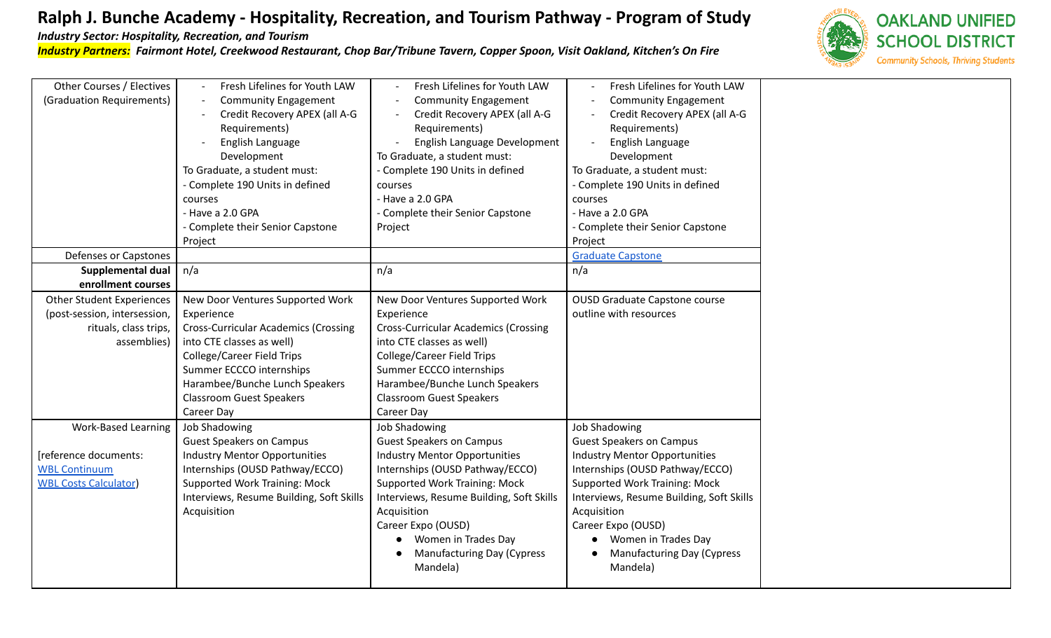## **Ralph J. Bunche Academy - Hospitality, Recreation, and Tourism Pathway - Program of Study**

*Industry Sector: Hospitality, Recreation, and Tourism*

*Industry Partners: Fairmont Hotel, Creekwood Restaurant, Chop Bar/Tribune Tavern, Copper Spoon, Visit Oakland, Kitchen's On Fire*



| Other Courses / Electives        | Fresh Lifelines for Youth LAW               | Fresh Lifelines for Youth LAW               | Fresh Lifelines for Youth LAW            |
|----------------------------------|---------------------------------------------|---------------------------------------------|------------------------------------------|
| (Graduation Requirements)        | <b>Community Engagement</b>                 | <b>Community Engagement</b>                 | <b>Community Engagement</b>              |
|                                  | Credit Recovery APEX (all A-G               | Credit Recovery APEX (all A-G               | Credit Recovery APEX (all A-G            |
|                                  | Requirements)                               | Requirements)                               | Requirements)                            |
|                                  | English Language                            | English Language Development                | English Language                         |
|                                  | Development                                 | To Graduate, a student must:                | Development                              |
|                                  | To Graduate, a student must:                | - Complete 190 Units in defined             | To Graduate, a student must:             |
|                                  | - Complete 190 Units in defined             | courses                                     | - Complete 190 Units in defined          |
|                                  | courses                                     | - Have a 2.0 GPA                            | courses                                  |
|                                  | - Have a 2.0 GPA                            | - Complete their Senior Capstone            | - Have a 2.0 GPA                         |
|                                  | - Complete their Senior Capstone            | Project                                     | - Complete their Senior Capstone         |
|                                  | Project                                     |                                             | Project                                  |
| Defenses or Capstones            |                                             |                                             | <b>Graduate Capstone</b>                 |
| <b>Supplemental dual</b>         | n/a                                         | n/a                                         | n/a                                      |
| enrollment courses               |                                             |                                             |                                          |
| <b>Other Student Experiences</b> | New Door Ventures Supported Work            | New Door Ventures Supported Work            | <b>OUSD Graduate Capstone course</b>     |
| (post-session, intersession,     | Experience                                  | Experience                                  | outline with resources                   |
| rituals, class trips,            | <b>Cross-Curricular Academics (Crossing</b> | <b>Cross-Curricular Academics (Crossing</b> |                                          |
| assemblies)                      | into CTE classes as well)                   | into CTE classes as well)                   |                                          |
|                                  | <b>College/Career Field Trips</b>           | <b>College/Career Field Trips</b>           |                                          |
|                                  | Summer ECCCO internships                    | Summer ECCCO internships                    |                                          |
|                                  | Harambee/Bunche Lunch Speakers              | Harambee/Bunche Lunch Speakers              |                                          |
|                                  | <b>Classroom Guest Speakers</b>             | <b>Classroom Guest Speakers</b>             |                                          |
|                                  | Career Day                                  | Career Day                                  |                                          |
| <b>Work-Based Learning</b>       | Job Shadowing                               | Job Shadowing                               | <b>Job Shadowing</b>                     |
|                                  | <b>Guest Speakers on Campus</b>             | <b>Guest Speakers on Campus</b>             | <b>Guest Speakers on Campus</b>          |
| [reference documents:            | <b>Industry Mentor Opportunities</b>        | <b>Industry Mentor Opportunities</b>        | <b>Industry Mentor Opportunities</b>     |
| <b>WBL Continuum</b>             | Internships (OUSD Pathway/ECCO)             | Internships (OUSD Pathway/ECCO)             | Internships (OUSD Pathway/ECCO)          |
| <b>WBL Costs Calculator</b>      | <b>Supported Work Training: Mock</b>        | <b>Supported Work Training: Mock</b>        | <b>Supported Work Training: Mock</b>     |
|                                  | Interviews, Resume Building, Soft Skills    | Interviews, Resume Building, Soft Skills    | Interviews, Resume Building, Soft Skills |
|                                  | Acquisition                                 | Acquisition                                 | Acquisition                              |
|                                  |                                             | Career Expo (OUSD)                          | Career Expo (OUSD)                       |
|                                  |                                             | Women in Trades Day                         | Women in Trades Day                      |
|                                  |                                             | Manufacturing Day (Cypress                  | <b>Manufacturing Day (Cypress</b>        |
|                                  |                                             | Mandela)                                    | Mandela)                                 |
|                                  |                                             |                                             |                                          |